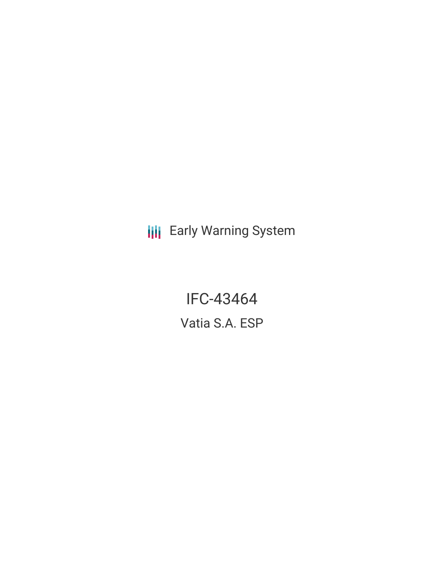**III** Early Warning System

IFC-43464 Vatia S.A. ESP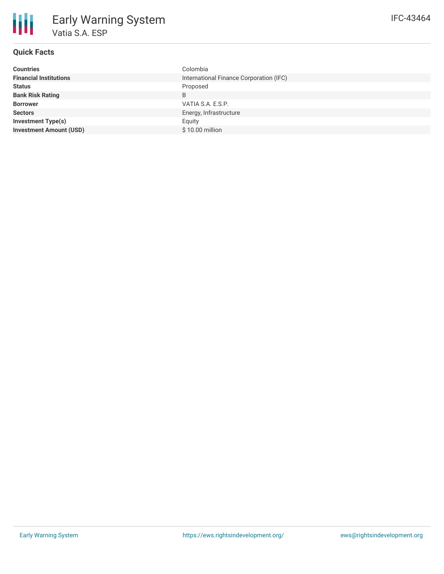| International Finance Corporation (IFC)<br><b>Financial Institutions</b> |
|--------------------------------------------------------------------------|
|                                                                          |
| Proposed<br><b>Status</b>                                                |
| <b>Bank Risk Rating</b><br>B                                             |
| VATIA S.A. E.S.P.<br><b>Borrower</b>                                     |
| Energy, Infrastructure<br><b>Sectors</b>                                 |
| <b>Investment Type(s)</b><br>Equity                                      |
| <b>Investment Amount (USD)</b><br>\$10.00 million                        |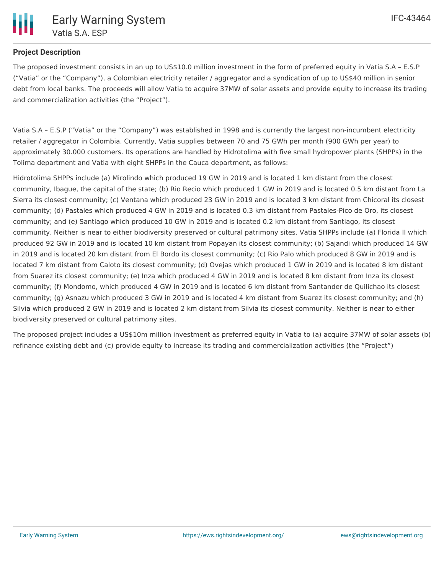## **Project Description**

The proposed investment consists in an up to US\$10.0 million investment in the form of preferred equity in Vatia S.A – E.S.P ("Vatia" or the "Company"), a Colombian electricity retailer / aggregator and a syndication of up to US\$40 million in senior debt from local banks. The proceeds will allow Vatia to acquire 37MW of solar assets and provide equity to increase its trading and commercialization activities (the "Project").

Vatia S.A – E.S.P ("Vatia" or the "Company") was established in 1998 and is currently the largest non-incumbent electricity retailer / aggregator in Colombia. Currently, Vatia supplies between 70 and 75 GWh per month (900 GWh per year) to approximately 30.000 customers. Its operations are handled by Hidrotolima with five small hydropower plants (SHPPs) in the Tolima department and Vatia with eight SHPPs in the Cauca department, as follows:

Hidrotolima SHPPs include (a) Mirolindo which produced 19 GW in 2019 and is located 1 km distant from the closest community, Ibague, the capital of the state; (b) Rio Recio which produced 1 GW in 2019 and is located 0.5 km distant from La Sierra its closest community; (c) Ventana which produced 23 GW in 2019 and is located 3 km distant from Chicoral its closest community; (d) Pastales which produced 4 GW in 2019 and is located 0.3 km distant from Pastales-Pico de Oro, its closest community; and (e) Santiago which produced 10 GW in 2019 and is located 0.2 km distant from Santiago, its closest community. Neither is near to either biodiversity preserved or cultural patrimony sites. Vatia SHPPs include (a) Florida II which produced 92 GW in 2019 and is located 10 km distant from Popayan its closest community; (b) Sajandi which produced 14 GW in 2019 and is located 20 km distant from El Bordo its closest community; (c) Rio Palo which produced 8 GW in 2019 and is located 7 km distant from Caloto its closest community; (d) Ovejas which produced 1 GW in 2019 and is located 8 km distant from Suarez its closest community; (e) Inza which produced 4 GW in 2019 and is located 8 km distant from Inza its closest community; (f) Mondomo, which produced 4 GW in 2019 and is located 6 km distant from Santander de Quilichao its closest community; (g) Asnazu which produced 3 GW in 2019 and is located 4 km distant from Suarez its closest community; and (h) Silvia which produced 2 GW in 2019 and is located 2 km distant from Silvia its closest community. Neither is near to either biodiversity preserved or cultural patrimony sites.

The proposed project includes a US\$10m million investment as preferred equity in Vatia to (a) acquire 37MW of solar assets (b) refinance existing debt and (c) provide equity to increase its trading and commercialization activities (the "Project")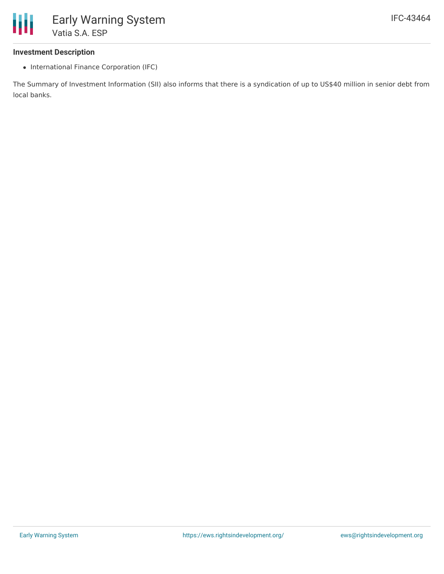## **Investment Description**

• International Finance Corporation (IFC)

The Summary of Investment Information (SII) also informs that there is a syndication of up to US\$40 million in senior debt from local banks.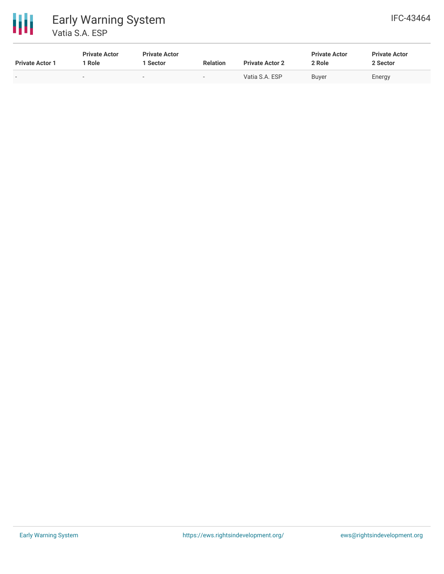



| <b>Private Actor 1</b>   | <b>Private Actor</b><br>Role | <b>Private Actor</b><br>Sector | <b>Relation</b> | <b>Private Actor 2</b> | <b>Private Actor</b><br>2 Role | <b>Private Actor</b><br>2 Sector |
|--------------------------|------------------------------|--------------------------------|-----------------|------------------------|--------------------------------|----------------------------------|
| $\overline{\phantom{0}}$ |                              | $\overline{\phantom{a}}$       |                 | Vatia S.A. ESP         | <b>Buyer</b>                   | Energy                           |